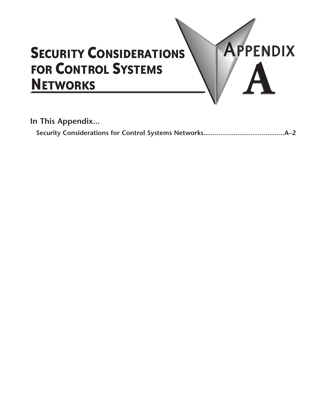## **SECURITY CONSIDERATIONS FOR CONTROL SYSTEMS NETWORKS**

In This Appendix...

APPENDIX